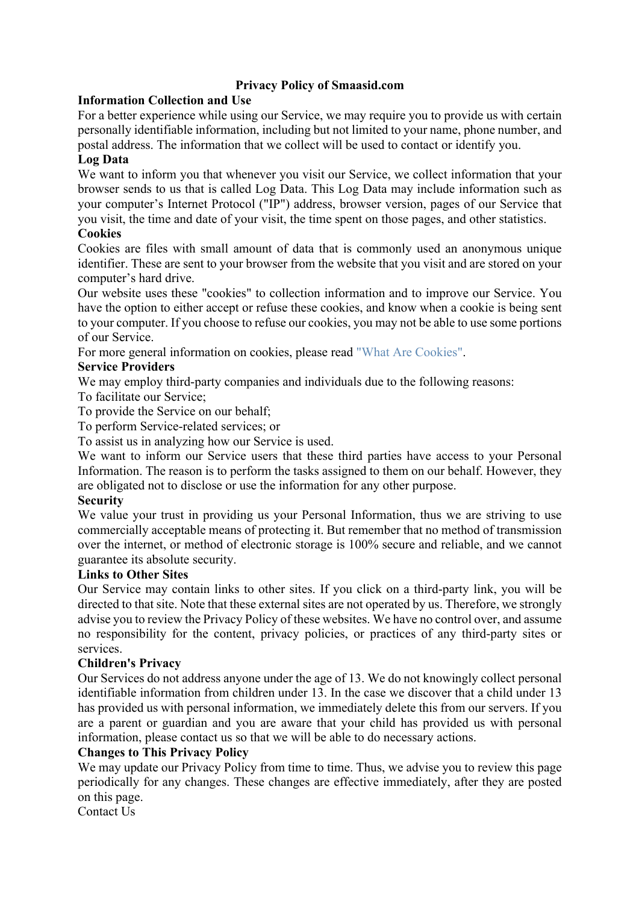# **Privacy Policy of Smaasid.com**

## **Information Collection and Use**

For a better experience while using our Service, we may require you to provide us with certain personally identifiable information, including but not limited to your name, phone number, and postal address. The information that we collect will be used to contact or identify you.

### **Log Data**

We want to inform you that whenever you visit our Service, we collect information that your browser sends to us that is called Log Data. This Log Data may include information such as your computer's Internet Protocol ("IP") address, browser version, pages of our Service that you visit, the time and date of your visit, the time spent on those pages, and other statistics.

### **Cookies**

Cookies are files with small amount of data that is commonly used an anonymous unique identifier. These are sent to your browser from the website that you visit and are stored on your computer's hard drive.

Our website uses these "cookies" to collection information and to improve our Service. You have the option to either accept or refuse these cookies, and know when a cookie is being sent to your computer. If you choose to refuse our cookies, you may not be able to use some portions of our Service.

For more general information on cookies, please read "What Are Cookies".

### **Service Providers**

We may employ third-party companies and individuals due to the following reasons:

To facilitate our Service;

To provide the Service on our behalf;

To perform Service-related services; or

To assist us in analyzing how our Service is used.

We want to inform our Service users that these third parties have access to your Personal Information. The reason is to perform the tasks assigned to them on our behalf. However, they are obligated not to disclose or use the information for any other purpose.

### **Security**

We value your trust in providing us your Personal Information, thus we are striving to use commercially acceptable means of protecting it. But remember that no method of transmission over the internet, or method of electronic storage is 100% secure and reliable, and we cannot guarantee its absolute security.

#### **Links to Other Sites**

Our Service may contain links to other sites. If you click on a third-party link, you will be directed to that site. Note that these external sites are not operated by us. Therefore, we strongly advise you to review the Privacy Policy of these websites. We have no control over, and assume no responsibility for the content, privacy policies, or practices of any third-party sites or services.

### **Children's Privacy**

Our Services do not address anyone under the age of 13. We do not knowingly collect personal identifiable information from children under 13. In the case we discover that a child under 13 has provided us with personal information, we immediately delete this from our servers. If you are a parent or guardian and you are aware that your child has provided us with personal information, please contact us so that we will be able to do necessary actions.

### **Changes to This Privacy Policy**

We may update our Privacy Policy from time to time. Thus, we advise you to review this page periodically for any changes. These changes are effective immediately, after they are posted on this page.

Contact Us